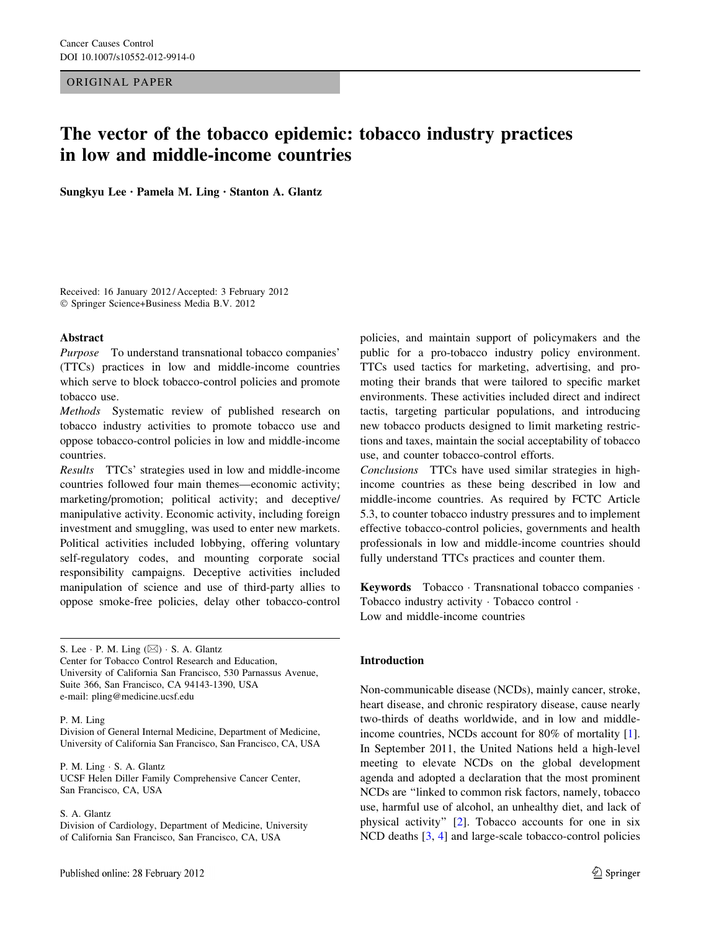ORIGINAL PAPER

# The vector of the tobacco epidemic: tobacco industry practices in low and middle-income countries

Sungkyu Lee • Pamela M. Ling • Stanton A. Glantz

Received: 16 January 2012 / Accepted: 3 February 2012 - Springer Science+Business Media B.V. 2012

### Abstract

Purpose To understand transnational tobacco companies' (TTCs) practices in low and middle-income countries which serve to block tobacco-control policies and promote tobacco use.

Methods Systematic review of published research on tobacco industry activities to promote tobacco use and oppose tobacco-control policies in low and middle-income countries.

Results TTCs' strategies used in low and middle-income countries followed four main themes—economic activity; marketing/promotion; political activity; and deceptive/ manipulative activity. Economic activity, including foreign investment and smuggling, was used to enter new markets. Political activities included lobbying, offering voluntary self-regulatory codes, and mounting corporate social responsibility campaigns. Deceptive activities included manipulation of science and use of third-party allies to oppose smoke-free policies, delay other tobacco-control

S. Lee  $\cdot$  P. M. Ling ( $\boxtimes$ )  $\cdot$  S. A. Glantz Center for Tobacco Control Research and Education, University of California San Francisco, 530 Parnassus Avenue, Suite 366, San Francisco, CA 94143-1390, USA e-mail: pling@medicine.ucsf.edu

#### P. M. Ling

Division of General Internal Medicine, Department of Medicine, University of California San Francisco, San Francisco, CA, USA

P. M. Ling · S. A. Glantz UCSF Helen Diller Family Comprehensive Cancer Center, San Francisco, CA, USA

S. A. Glantz

Division of Cardiology, Department of Medicine, University of California San Francisco, San Francisco, CA, USA

policies, and maintain support of policymakers and the public for a pro-tobacco industry policy environment. TTCs used tactics for marketing, advertising, and promoting their brands that were tailored to specific market environments. These activities included direct and indirect tactis, targeting particular populations, and introducing new tobacco products designed to limit marketing restrictions and taxes, maintain the social acceptability of tobacco use, and counter tobacco-control efforts.

Conclusions TTCs have used similar strategies in highincome countries as these being described in low and middle-income countries. As required by FCTC Article 5.3, to counter tobacco industry pressures and to implement effective tobacco-control policies, governments and health professionals in low and middle-income countries should fully understand TTCs practices and counter them.

Keywords Tobacco · Transnational tobacco companies · Tobacco industry activity · Tobacco control · Low and middle-income countries

#### Introduction

Non-communicable disease (NCDs), mainly cancer, stroke, heart disease, and chronic respiratory disease, cause nearly two-thirds of deaths worldwide, and in low and middleincome countries, NCDs account for 80% of mortality [\[1](#page-9-0)]. In September 2011, the United Nations held a high-level meeting to elevate NCDs on the global development agenda and adopted a declaration that the most prominent NCDs are ''linked to common risk factors, namely, tobacco use, harmful use of alcohol, an unhealthy diet, and lack of physical activity'' [\[2](#page-9-0)]. Tobacco accounts for one in six NCD deaths [[3,](#page-9-0) [4](#page-9-0)] and large-scale tobacco-control policies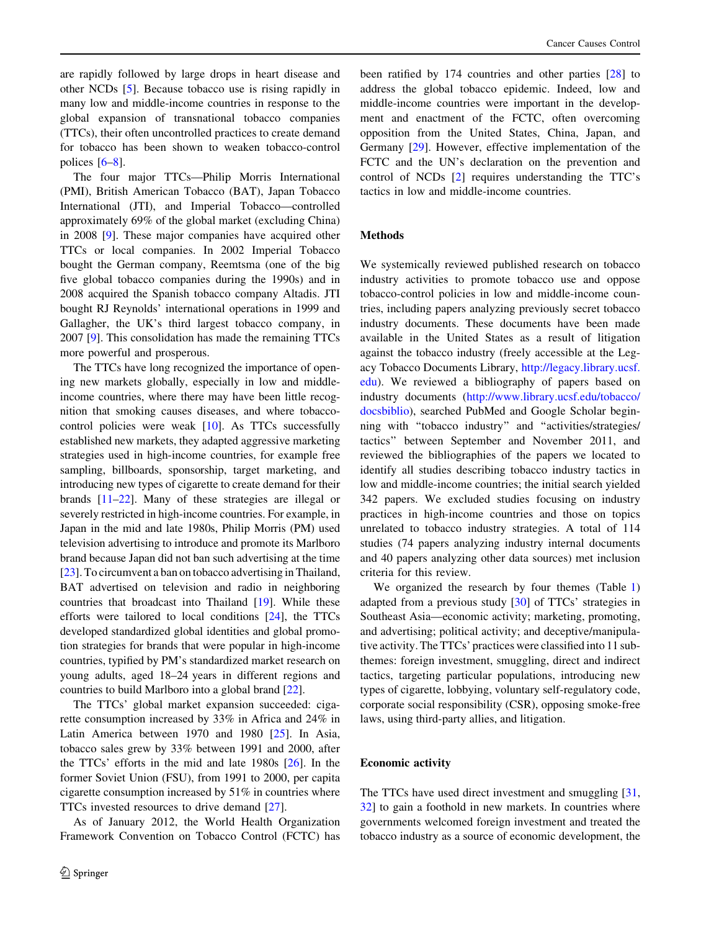are rapidly followed by large drops in heart disease and other NCDs [[5\]](#page-9-0). Because tobacco use is rising rapidly in many low and middle-income countries in response to the global expansion of transnational tobacco companies (TTCs), their often uncontrolled practices to create demand for tobacco has been shown to weaken tobacco-control polices [\[6–8](#page-9-0)].

The four major TTCs—Philip Morris International (PMI), British American Tobacco (BAT), Japan Tobacco International (JTI), and Imperial Tobacco—controlled approximately 69% of the global market (excluding China) in 2008 [\[9](#page-9-0)]. These major companies have acquired other TTCs or local companies. In 2002 Imperial Tobacco bought the German company, Reemtsma (one of the big five global tobacco companies during the 1990s) and in 2008 acquired the Spanish tobacco company Altadis. JTI bought RJ Reynolds' international operations in 1999 and Gallagher, the UK's third largest tobacco company, in 2007 [\[9\]](#page-9-0). This consolidation has made the remaining TTCs more powerful and prosperous.

The TTCs have long recognized the importance of opening new markets globally, especially in low and middleincome countries, where there may have been little recognition that smoking causes diseases, and where tobacco-control policies were weak [\[10](#page-9-0)]. As TTCs successfully established new markets, they adapted aggressive marketing strategies used in high-income countries, for example free sampling, billboards, sponsorship, target marketing, and introducing new types of cigarette to create demand for their brands [\[11–22\]](#page-9-0). Many of these strategies are illegal or severely restricted in high-income countries. For example, in Japan in the mid and late 1980s, Philip Morris (PM) used television advertising to introduce and promote its Marlboro brand because Japan did not ban such advertising at the time [\[23](#page-9-0)]. To circumvent a ban on tobacco advertising in Thailand, BAT advertised on television and radio in neighboring countries that broadcast into Thailand [[19\]](#page-9-0). While these efforts were tailored to local conditions [[24](#page-9-0)], the TTCs developed standardized global identities and global promotion strategies for brands that were popular in high-income countries, typified by PM's standardized market research on young adults, aged 18–24 years in different regions and countries to build Marlboro into a global brand [[22\]](#page-9-0).

The TTCs' global market expansion succeeded: cigarette consumption increased by 33% in Africa and 24% in Latin America between 1970 and 1980 [[25\]](#page-9-0). In Asia, tobacco sales grew by 33% between 1991 and 2000, after the TTCs' efforts in the mid and late 1980s [\[26](#page-9-0)]. In the former Soviet Union (FSU), from 1991 to 2000, per capita cigarette consumption increased by 51% in countries where TTCs invested resources to drive demand [\[27](#page-9-0)].

As of January 2012, the World Health Organization Framework Convention on Tobacco Control (FCTC) has been ratified by 174 countries and other parties [\[28](#page-9-0)] to address the global tobacco epidemic. Indeed, low and middle-income countries were important in the development and enactment of the FCTC, often overcoming opposition from the United States, China, Japan, and Germany [[29\]](#page-10-0). However, effective implementation of the FCTC and the UN's declaration on the prevention and control of NCDs [\[2](#page-9-0)] requires understanding the TTC's tactics in low and middle-income countries.

# Methods

We systemically reviewed published research on tobacco industry activities to promote tobacco use and oppose tobacco-control policies in low and middle-income countries, including papers analyzing previously secret tobacco industry documents. These documents have been made available in the United States as a result of litigation against the tobacco industry (freely accessible at the Legacy Tobacco Documents Library, [http://legacy.library.ucsf.](http://legacy.library.ucsf.edu) [edu\)](http://legacy.library.ucsf.edu). We reviewed a bibliography of papers based on industry documents ([http://www.library.ucsf.edu/tobacco/](http://www.library.ucsf.edu/tobacco/docsbiblio) [docsbiblio\)](http://www.library.ucsf.edu/tobacco/docsbiblio), searched PubMed and Google Scholar beginning with ''tobacco industry'' and ''activities/strategies/ tactics'' between September and November 2011, and reviewed the bibliographies of the papers we located to identify all studies describing tobacco industry tactics in low and middle-income countries; the initial search yielded 342 papers. We excluded studies focusing on industry practices in high-income countries and those on topics unrelated to tobacco industry strategies. A total of 114 studies (74 papers analyzing industry internal documents and 40 papers analyzing other data sources) met inclusion criteria for this review.

We organized the research by four themes (Table [1\)](#page-2-0) adapted from a previous study [\[30](#page-10-0)] of TTCs' strategies in Southeast Asia—economic activity; marketing, promoting, and advertising; political activity; and deceptive/manipulative activity. The TTCs' practices were classified into 11 subthemes: foreign investment, smuggling, direct and indirect tactics, targeting particular populations, introducing new types of cigarette, lobbying, voluntary self-regulatory code, corporate social responsibility (CSR), opposing smoke-free laws, using third-party allies, and litigation.

#### Economic activity

The TTCs have used direct investment and smuggling [[31,](#page-10-0) [32](#page-10-0)] to gain a foothold in new markets. In countries where governments welcomed foreign investment and treated the tobacco industry as a source of economic development, the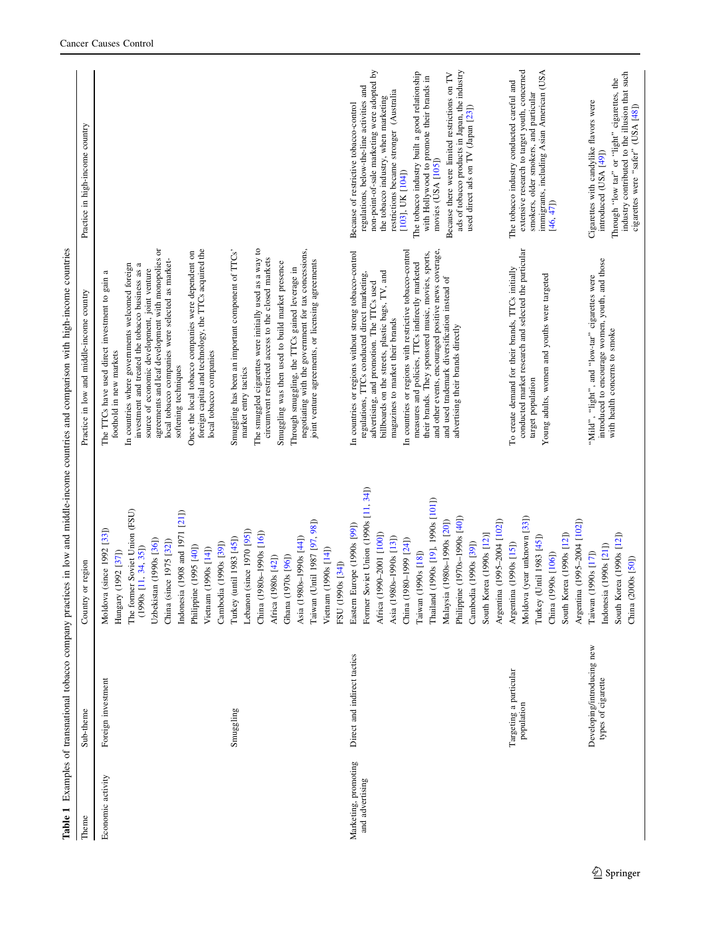<span id="page-2-0"></span>

|                                         |                                                  |                                                                                                                                                                                                                                                                                                                                                                       | Table 1 Examples of transnational tobacco company practices in low and middle-income countries and comparison with high-income countries                                                                                                                                                                                                                                                                                                                                                                                                                            |                                                                                                                                                                                                                                                                                                                                                                                                                                                                                                              |
|-----------------------------------------|--------------------------------------------------|-----------------------------------------------------------------------------------------------------------------------------------------------------------------------------------------------------------------------------------------------------------------------------------------------------------------------------------------------------------------------|---------------------------------------------------------------------------------------------------------------------------------------------------------------------------------------------------------------------------------------------------------------------------------------------------------------------------------------------------------------------------------------------------------------------------------------------------------------------------------------------------------------------------------------------------------------------|--------------------------------------------------------------------------------------------------------------------------------------------------------------------------------------------------------------------------------------------------------------------------------------------------------------------------------------------------------------------------------------------------------------------------------------------------------------------------------------------------------------|
| Theme                                   | Sub-theme                                        | region<br>Country or                                                                                                                                                                                                                                                                                                                                                  | Practice in low and middle-income country                                                                                                                                                                                                                                                                                                                                                                                                                                                                                                                           | Practice in high-income country                                                                                                                                                                                                                                                                                                                                                                                                                                                                              |
| Economic activity                       | Foreign investment<br>Smuggling                  | Soviet Union (FSU)<br>Indonesia (1908 and 1971 [21])<br>Moldova (since 1992 [33])<br>Turkey (until 1983 [45])<br>Uzbekistan (1990s [36])<br>China (since 1975 [32])<br>Cambodia (1990s [39])<br>$(1990s$ [11, 34, 35])<br>Philippine (1995 [40])<br>Vietnam (1990s [14])<br>Hungary (1992 [37])<br>The former                                                         | agreements and leaf development with monopolies or<br>foreign capital and technology, the TTCs acquired the<br>Smuggling has been an important component of TTCs'<br>Once the local tobacco companies were dependent on<br>local tobacco companies were selected as market-<br>investment and treated the tobacco business as a<br>In countries where governments welcomed foreign<br>source of economic development, joint venture<br>The TTCs have used direct investment to gain a<br>foothold in new markets<br>local tobacco companies<br>softening techniques |                                                                                                                                                                                                                                                                                                                                                                                                                                                                                                              |
|                                         |                                                  | Taiwan (Until 1987 [97, 98])<br>Lebanon (since 1970 [95])<br>China (1980s-1990s [16])<br>Asia (1980s-1990s [44])<br>Vietnam (1990s [14])<br>Ghana (1970s [96])<br>Africa (1980s [42])<br>FSU (1990s [34])                                                                                                                                                             | The smuggled cigarettes were initially used as a way to<br>Through smuggling, the TTCs gained leverage in negotiating with the government for tax concessions,<br>circumvent restricted access to the closed markets<br>joint venture agreements, or licensing agreements<br>Smuggling was then used to build market presence<br>market entry tactics                                                                                                                                                                                                               |                                                                                                                                                                                                                                                                                                                                                                                                                                                                                                              |
| Marketing, promoting<br>and advertising | Direct and indirect tactics                      | Former Soviet Union (1990s [11, 34])<br>Thailand (1990s [19], 1990s [101])<br>Philippine (1970s-1990s [40])<br>Malaysia (1980s-1990s [20])<br>Argentina (1995-2004 [102])<br>Eastern Europe (1990s [99])<br>South Korea (1990s [12)]<br>Africa (1990-2001 [100])<br>Asia (1980s-1990s [13])<br>China (1980-1999 [24])<br>Cambodia (1990s [39])<br>Taiwan (1990s [18]) | In countries or regions with restrictive tobacco-control<br>In countries or regions without strong tobacco-control<br>and other events, encouraged positive news coverage,<br>their brands. They sponsored music, movies, sports,<br>measures and policies, TTCs indirectly marketed<br>billboards on the streets, plastic bags, TV, and<br>regulations, TTCs conducted direct marketing,<br>and used trademark diversification instead of<br>advertising, and promotion. The TTCs used<br>magazines to market their brands<br>advertising their brands directly    | non-point-of-sale marketing were adopted by<br>The tobacco industry built a good relationship<br>with Hollywood to promote their brands in<br>ads of tobacco products in Japan, the industry<br>Because there were limited restrictions on TV<br>regulations, below-the-line activities and<br>restrictions became stronger (Australia<br>the tobacco industry, when marketing<br>Because of restrictive tobacco-control<br>used direct ads on TV (Japan [23])<br>movies (USA [105])<br>$[103]$ , UK $[104]$ |
|                                         | Targeting a particular<br>population             | Moldova (year unknown [33])<br>Argentina (1995-2004 [102])<br>South Korea (1990s [12])<br>Turkey (Until 1983 [45])<br>Argentina (1990s [15])<br>China (1990s [106])                                                                                                                                                                                                   | conducted market research and selected the particular<br>To create demand for their brands, TTCs initially<br>Young adults, women and youths were targeted<br>target population                                                                                                                                                                                                                                                                                                                                                                                     | extensive research to target youth, concerned<br>immigrants, including Asian American (USA<br>The tobacco industry conducted careful and<br>smokers, older smokers, and particular<br>[46, 47]                                                                                                                                                                                                                                                                                                               |
|                                         | Developing/introducing new<br>types of cigarette | South Korea (1990s [12])<br>Indonesia (1990s [21])<br>Taiwan (1990s [17])<br>China (2000s [50])                                                                                                                                                                                                                                                                       | introduced to encourage women, youth, and those<br>"Mild", "light", and "low-tar" cigarettes were<br>with health concerns to smoke                                                                                                                                                                                                                                                                                                                                                                                                                                  | industry contributed to the illusion that such<br>Through "low tar" or "light" cigarettes, the<br>Cigarettes with candylike flavors were<br>cigarettes were "safer" (USA [48])<br>introduced (USA [49])                                                                                                                                                                                                                                                                                                      |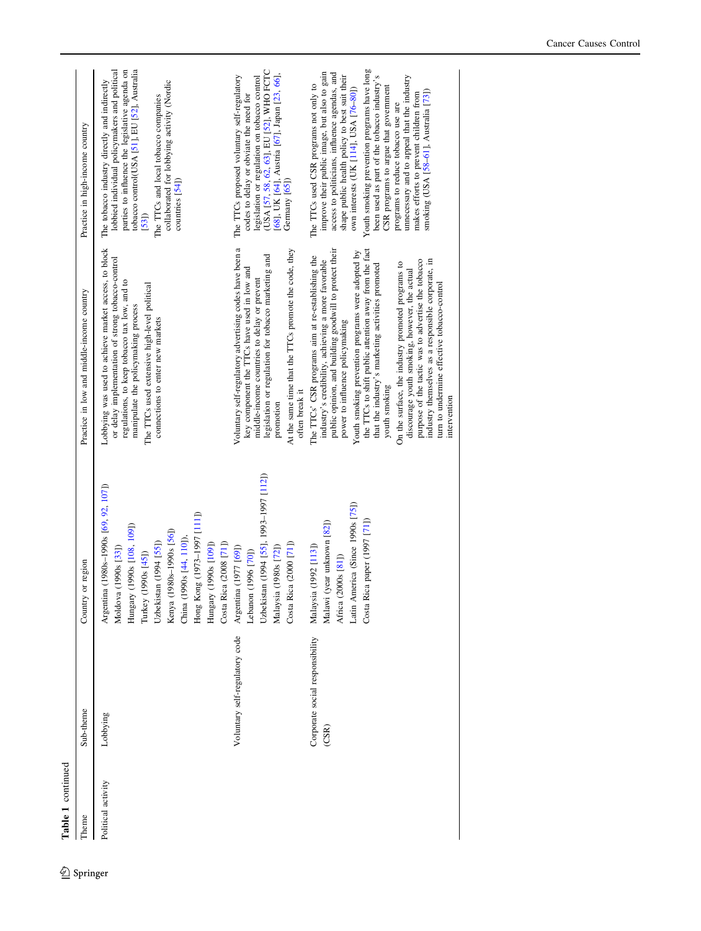| Table 1 continued  |                                          |                                                                                                                                                                                                                                                                                             |                                                                                                                                                                                                                                                                                                                                                                                                                                                                                                                                                                                                                                                                           |                                                                                                                                                                                                                                                                                                                                                                                                                                                                                                                                                  |
|--------------------|------------------------------------------|---------------------------------------------------------------------------------------------------------------------------------------------------------------------------------------------------------------------------------------------------------------------------------------------|---------------------------------------------------------------------------------------------------------------------------------------------------------------------------------------------------------------------------------------------------------------------------------------------------------------------------------------------------------------------------------------------------------------------------------------------------------------------------------------------------------------------------------------------------------------------------------------------------------------------------------------------------------------------------|--------------------------------------------------------------------------------------------------------------------------------------------------------------------------------------------------------------------------------------------------------------------------------------------------------------------------------------------------------------------------------------------------------------------------------------------------------------------------------------------------------------------------------------------------|
| Theme              | Sub-theme                                | Country or region                                                                                                                                                                                                                                                                           | Practice in low and middle-income country                                                                                                                                                                                                                                                                                                                                                                                                                                                                                                                                                                                                                                 | Practice in high-income country                                                                                                                                                                                                                                                                                                                                                                                                                                                                                                                  |
| Political activity | Lobbying                                 | Argentina (1980s-1990s [69, 92, 107])<br>Hong Kong (1973-1997 [111])<br>Hungary (1990s [108, 109])<br>Kenya (1980s-1990s [56])<br>China (1990s [44, 110]),<br>Uzbekistan (1994 [55])<br>Hungary (1990s [109])<br>Costa Rica (2008 [71])<br>Moldova (1990s [33])<br>(1990s [45])<br>Turkey ( | Lobbying was used to achieve market access, to block<br>or delay implementation of strong tobacco-control<br>regulations, to keep tobacco tax low, and to<br>The TTCs used extensive high-level political<br>manipulate the policymaking process<br>connections to enter new markets                                                                                                                                                                                                                                                                                                                                                                                      | lobbied individual policymakers and political<br>tobacco control(USA [51], EU [52], Australia<br>parties to influence the legislative agenda on<br>The tobacco industry directly and indirectly<br>collaborated for lobbying activity (Nordic<br>The TTCs and local tobacco companies<br>countries $[54]$<br>[53]                                                                                                                                                                                                                                |
|                    | Voluntary self-regulatory code           | Uzbekistan (1994 [55], 1993-1997 [112])<br>Costa Rica (2000 [71])<br>Argentina (1977 [69])<br>Malaysia (1980s [72])<br>Lebanon (1996 [70])                                                                                                                                                  | Voluntary self-regulatory advertising codes have been a<br>At the same time that the TTCs promote the code, they<br>legislation or regulation for tobacco marketing and<br>key component the TTCs have used in low and<br>middle-income countries to delay or prevent<br>often break it<br>promotion                                                                                                                                                                                                                                                                                                                                                                      | (USA [57, 58, 62, 63], EU [52], WHO FCTC<br>[68], UK [64], Austria [67], Japan [23, 66],<br>The TTCs proposed voluntary self-regulatory<br>legislation or regulation on tobacco control<br>codes to delay or obviate the need for<br>Germany $[65]$                                                                                                                                                                                                                                                                                              |
|                    | Corporate social responsibility<br>(CSR) | Latin America (Since 1990s [75])<br>Malawi (year unknown [82])<br>Costa Rica paper (1997 [71])<br>Malaysia (1992 [113])<br>Africa (2000s [81])                                                                                                                                              | public opinion, and building goodwill to protect their<br>the TTCs to shift public attention away from the fact<br>Youth smoking prevention programs were adopted by<br>The TTCs' CSR programs aim at re-establishing the<br>purpose of the tactic was to advertise the tobacco<br>industry themselves as a responsible corporate, in<br>industry's credibility, achieving a more favorable<br>On the surface, the industry promoted programs to<br>that the industry's marketing activities promoted<br>discourage youth smoking, however, the actual<br>turn to undermine effective tobacco-control<br>power to influence policymaking<br>youth smoking<br>intervention | Youth smoking prevention programs have long<br>improve their public image, but also to gain<br>access to politicians, influence agendas, and<br>shape public health policy to best suit their<br>unnecessary and to appeal that the industry<br>been used as part of the tobacco industry's<br>The TTCs used CSR programs not only to<br>CSR programs to argue that government<br>own interests (UK [114], USA [76-80])<br>smoking (USA [58-61], Australia [73])<br>makes efforts to prevent children from<br>programs to reduce tobacco use are |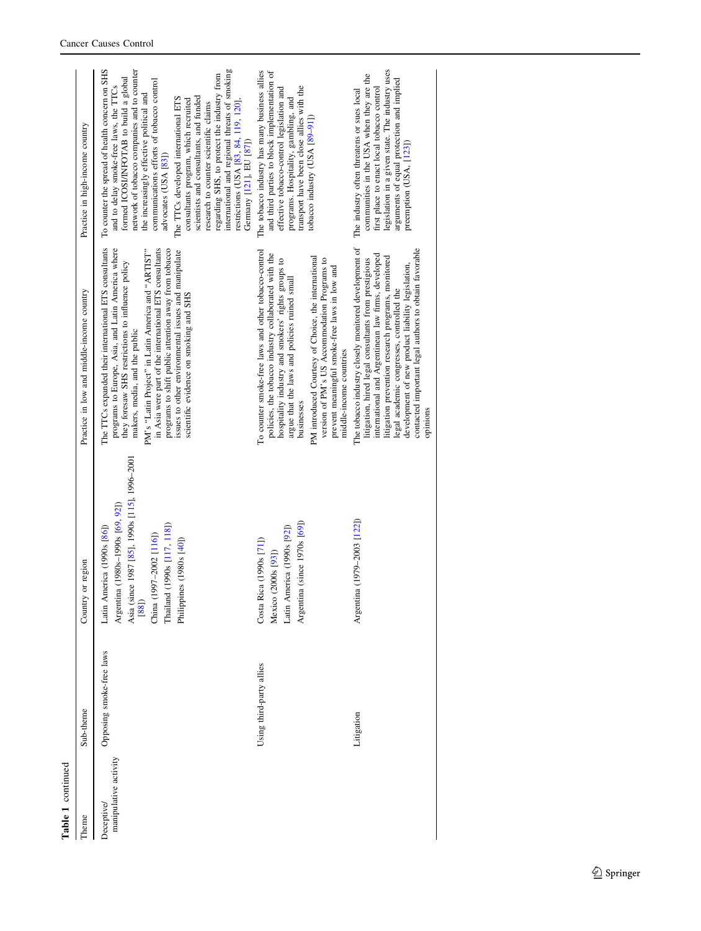| Table 1 continued                   |                          |                                                                                                                                                                                                                             |                                                                                                                                                                                                                                                                                                                                                                                                                                                                           |                                                                                                                                                                                                                                                                                                                                                                                                                                                                                                                                                                                                                                           |
|-------------------------------------|--------------------------|-----------------------------------------------------------------------------------------------------------------------------------------------------------------------------------------------------------------------------|---------------------------------------------------------------------------------------------------------------------------------------------------------------------------------------------------------------------------------------------------------------------------------------------------------------------------------------------------------------------------------------------------------------------------------------------------------------------------|-------------------------------------------------------------------------------------------------------------------------------------------------------------------------------------------------------------------------------------------------------------------------------------------------------------------------------------------------------------------------------------------------------------------------------------------------------------------------------------------------------------------------------------------------------------------------------------------------------------------------------------------|
| Theme                               | Sub-theme                | or region<br>Country                                                                                                                                                                                                        | Practice in low and middle-income country                                                                                                                                                                                                                                                                                                                                                                                                                                 | Practice in high-income country                                                                                                                                                                                                                                                                                                                                                                                                                                                                                                                                                                                                           |
| manipulative activity<br>Deceptive/ | Opposing smoke-free laws | Asia (since 1987 [85], 1990s [115], 1996-2001<br>Argentina (1980s-1990s [69, 92])<br>Thailand (1990s [117, 118])<br>Latin America (1990s [86])<br>China (1997-2002 [116])<br>Philippines (1980s [40])<br>$\left[ 88\right]$ | The TTCs expanded their international ETS consultants<br>programs to Europe, Asia, and Latin America where<br>in Asia were part of the international ETS consultants<br>programs to shift public attention away from tobacco<br>PM's "Latin Project" in Latin America and "ARTIST"<br>issues to other environmental issues and manipulate<br>they foresaw SHS restrictions to influence policy<br>scientific evidence on smoking and SHS<br>makers, media, and the public | To counter the spread of health concern on SHS<br>international and regional threats of smoking<br>network of tobacco companies and to counter<br>regarding SHS, to protect the industry from<br>formed ICOSI/INFOTAB to build a global<br>communications efforts of tobacco control<br>and to delay smoke-free laws, the TTCs<br>the increasingly effective political and<br>scientists and consultants, and funded<br>The TTCs developed international ETS<br>consultants program, which recruited<br>restrictions (USA [83, 84, 119, 120],<br>research to counter scientific claims<br>Germany [121], EU [87])<br>advocates (USA [83]) |
|                                     | Using third-party allies | Argentina (since 1970s [69])<br>Latin America (1990s [92])<br>Costa Rica (1990s [71])<br>Mexico (2000s [93])                                                                                                                | To counter smoke-free laws and other tobacco-control<br>policies, the tobacco industry collaborated with the<br>PM introduced Courtesy of Choice, the international<br>hospitality industry and smokers' rights groups to<br>version of PM's US Accommodation Programs to<br>prevent meaningful smoke-free laws in low and<br>argue that the laws and policies ruined small<br>middle-income countries<br>businesses                                                      | The tobacco industry has many business allies<br>and third parties to block implementation of<br>transport have been close allies with the<br>effective tobacco-control legislation and<br>programs. Hospitality, gambling, and<br>cobacco industry (USA [89-91])                                                                                                                                                                                                                                                                                                                                                                         |
|                                     | Litigation               | Argentina (1979-2003 [122])                                                                                                                                                                                                 | The tobacco industry closely monitored development of<br>contacted important legal authors to obtain favorable<br>international and Argentinean law firms, developed<br>litigation prevention research programs, monitored<br>litigation, hired legal consultants from prestigious<br>development of new product liability legislation,<br>legal academic congresses, controlled the<br>opinions                                                                          | legislation in a given state. The industry uses<br>communities in the USA when they are the<br>arguments of equal protection and implied<br>first place to enact local tobacco control<br>The industry often threatens or sues local<br>preemption (USA, [123])                                                                                                                                                                                                                                                                                                                                                                           |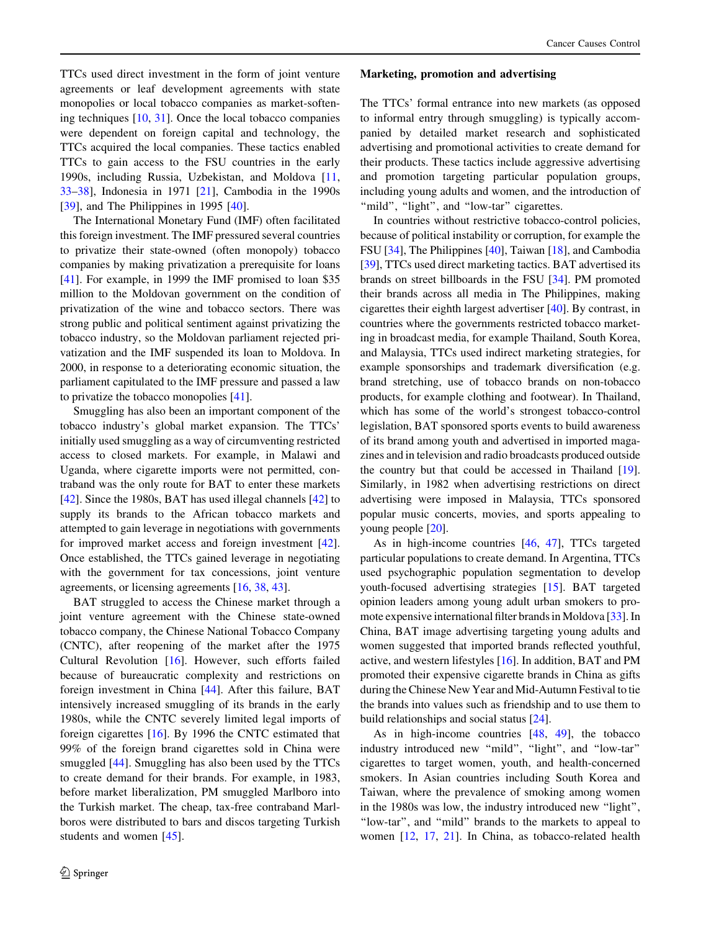TTCs used direct investment in the form of joint venture agreements or leaf development agreements with state monopolies or local tobacco companies as market-softening techniques [[10,](#page-9-0) [31](#page-10-0)]. Once the local tobacco companies were dependent on foreign capital and technology, the TTCs acquired the local companies. These tactics enabled TTCs to gain access to the FSU countries in the early 1990s, including Russia, Uzbekistan, and Moldova [[11,](#page-9-0) [33](#page-10-0)–[38\]](#page-10-0), Indonesia in 1971 [[21\]](#page-9-0), Cambodia in the 1990s [\[39](#page-10-0)], and The Philippines in 1995 [\[40](#page-10-0)].

The International Monetary Fund (IMF) often facilitated this foreign investment. The IMF pressured several countries to privatize their state-owned (often monopoly) tobacco companies by making privatization a prerequisite for loans [\[41](#page-10-0)]. For example, in 1999 the IMF promised to loan \$35 million to the Moldovan government on the condition of privatization of the wine and tobacco sectors. There was strong public and political sentiment against privatizing the tobacco industry, so the Moldovan parliament rejected privatization and the IMF suspended its loan to Moldova. In 2000, in response to a deteriorating economic situation, the parliament capitulated to the IMF pressure and passed a law to privatize the tobacco monopolies [[41\]](#page-10-0).

Smuggling has also been an important component of the tobacco industry's global market expansion. The TTCs' initially used smuggling as a way of circumventing restricted access to closed markets. For example, in Malawi and Uganda, where cigarette imports were not permitted, contraband was the only route for BAT to enter these markets [\[42](#page-10-0)]. Since the 1980s, BAT has used illegal channels [[42\]](#page-10-0) to supply its brands to the African tobacco markets and attempted to gain leverage in negotiations with governments for improved market access and foreign investment [\[42](#page-10-0)]. Once established, the TTCs gained leverage in negotiating with the government for tax concessions, joint venture agreements, or licensing agreements [\[16](#page-9-0), [38](#page-10-0), [43](#page-10-0)].

BAT struggled to access the Chinese market through a joint venture agreement with the Chinese state-owned tobacco company, the Chinese National Tobacco Company (CNTC), after reopening of the market after the 1975 Cultural Revolution [\[16](#page-9-0)]. However, such efforts failed because of bureaucratic complexity and restrictions on foreign investment in China [\[44](#page-10-0)]. After this failure, BAT intensively increased smuggling of its brands in the early 1980s, while the CNTC severely limited legal imports of foreign cigarettes [[16\]](#page-9-0). By 1996 the CNTC estimated that 99% of the foreign brand cigarettes sold in China were smuggled [[44\]](#page-10-0). Smuggling has also been used by the TTCs to create demand for their brands. For example, in 1983, before market liberalization, PM smuggled Marlboro into the Turkish market. The cheap, tax-free contraband Marlboros were distributed to bars and discos targeting Turkish students and women [[45\]](#page-10-0).

#### Marketing, promotion and advertising

The TTCs' formal entrance into new markets (as opposed to informal entry through smuggling) is typically accompanied by detailed market research and sophisticated advertising and promotional activities to create demand for their products. These tactics include aggressive advertising and promotion targeting particular population groups, including young adults and women, and the introduction of "mild", "light", and "low-tar" cigarettes.

In countries without restrictive tobacco-control policies, because of political instability or corruption, for example the FSU [[34\]](#page-10-0), The Philippines [[40](#page-10-0)], Taiwan [[18\]](#page-9-0), and Cambodia [\[39](#page-10-0)], TTCs used direct marketing tactics. BAT advertised its brands on street billboards in the FSU [\[34](#page-10-0)]. PM promoted their brands across all media in The Philippines, making cigarettes their eighth largest advertiser [\[40](#page-10-0)]. By contrast, in countries where the governments restricted tobacco marketing in broadcast media, for example Thailand, South Korea, and Malaysia, TTCs used indirect marketing strategies, for example sponsorships and trademark diversification (e.g. brand stretching, use of tobacco brands on non-tobacco products, for example clothing and footwear). In Thailand, which has some of the world's strongest tobacco-control legislation, BAT sponsored sports events to build awareness of its brand among youth and advertised in imported magazines and in television and radio broadcasts produced outside the country but that could be accessed in Thailand [[19](#page-9-0)]. Similarly, in 1982 when advertising restrictions on direct advertising were imposed in Malaysia, TTCs sponsored popular music concerts, movies, and sports appealing to young people [[20\]](#page-9-0).

As in high-income countries [\[46](#page-10-0), [47\]](#page-10-0), TTCs targeted particular populations to create demand. In Argentina, TTCs used psychographic population segmentation to develop youth-focused advertising strategies [\[15\]](#page-9-0). BAT targeted opinion leaders among young adult urban smokers to promote expensive international filter brands in Moldova [[33\]](#page-10-0). In China, BAT image advertising targeting young adults and women suggested that imported brands reflected youthful, active, and western lifestyles [[16](#page-9-0)]. In addition, BAT and PM promoted their expensive cigarette brands in China as gifts during the Chinese New Year and Mid-Autumn Festival to tie the brands into values such as friendship and to use them to build relationships and social status [\[24\]](#page-9-0).

As in high-income countries [\[48,](#page-10-0) [49\]](#page-10-0), the tobacco industry introduced new "mild", "light", and "low-tar" cigarettes to target women, youth, and health-concerned smokers. In Asian countries including South Korea and Taiwan, where the prevalence of smoking among women in the 1980s was low, the industry introduced new ''light'', ''low-tar'', and ''mild'' brands to the markets to appeal to women [\[12](#page-9-0), [17](#page-9-0), [21\]](#page-9-0). In China, as tobacco-related health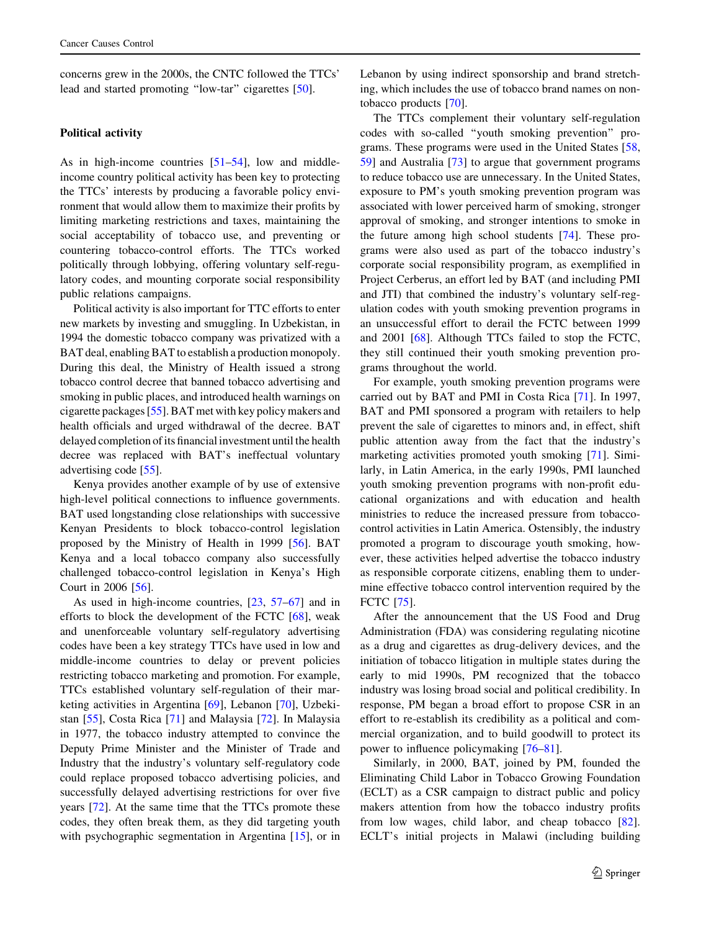concerns grew in the 2000s, the CNTC followed the TTCs' lead and started promoting "low-tar" cigarettes [\[50](#page-10-0)].

# Political activity

As in high-income countries [[51–54\]](#page-10-0), low and middleincome country political activity has been key to protecting the TTCs' interests by producing a favorable policy environment that would allow them to maximize their profits by limiting marketing restrictions and taxes, maintaining the social acceptability of tobacco use, and preventing or countering tobacco-control efforts. The TTCs worked politically through lobbying, offering voluntary self-regulatory codes, and mounting corporate social responsibility public relations campaigns.

Political activity is also important for TTC efforts to enter new markets by investing and smuggling. In Uzbekistan, in 1994 the domestic tobacco company was privatized with a BAT deal, enabling BAT to establish a production monopoly. During this deal, the Ministry of Health issued a strong tobacco control decree that banned tobacco advertising and smoking in public places, and introduced health warnings on cigarette packages [\[55\]](#page-10-0). BAT met with key policy makers and health officials and urged withdrawal of the decree. BAT delayed completion of its financial investment until the health decree was replaced with BAT's ineffectual voluntary advertising code [\[55](#page-10-0)].

Kenya provides another example of by use of extensive high-level political connections to influence governments. BAT used longstanding close relationships with successive Kenyan Presidents to block tobacco-control legislation proposed by the Ministry of Health in 1999 [[56\]](#page-10-0). BAT Kenya and a local tobacco company also successfully challenged tobacco-control legislation in Kenya's High Court in 2006 [[56\]](#page-10-0).

As used in high-income countries, [[23,](#page-9-0) [57–67](#page-10-0)] and in efforts to block the development of the FCTC [[68\]](#page-10-0), weak and unenforceable voluntary self-regulatory advertising codes have been a key strategy TTCs have used in low and middle-income countries to delay or prevent policies restricting tobacco marketing and promotion. For example, TTCs established voluntary self-regulation of their marketing activities in Argentina [[69\]](#page-10-0), Lebanon [[70\]](#page-11-0), Uzbekistan [[55\]](#page-10-0), Costa Rica [[71\]](#page-11-0) and Malaysia [[72\]](#page-11-0). In Malaysia in 1977, the tobacco industry attempted to convince the Deputy Prime Minister and the Minister of Trade and Industry that the industry's voluntary self-regulatory code could replace proposed tobacco advertising policies, and successfully delayed advertising restrictions for over five years [[72\]](#page-11-0). At the same time that the TTCs promote these codes, they often break them, as they did targeting youth with psychographic segmentation in Argentina [[15\]](#page-9-0), or in Lebanon by using indirect sponsorship and brand stretching, which includes the use of tobacco brand names on nontobacco products [[70\]](#page-11-0).

The TTCs complement their voluntary self-regulation codes with so-called ''youth smoking prevention'' programs. These programs were used in the United States [[58,](#page-10-0) [59](#page-10-0)] and Australia [[73\]](#page-11-0) to argue that government programs to reduce tobacco use are unnecessary. In the United States, exposure to PM's youth smoking prevention program was associated with lower perceived harm of smoking, stronger approval of smoking, and stronger intentions to smoke in the future among high school students [\[74](#page-11-0)]. These programs were also used as part of the tobacco industry's corporate social responsibility program, as exemplified in Project Cerberus, an effort led by BAT (and including PMI and JTI) that combined the industry's voluntary self-regulation codes with youth smoking prevention programs in an unsuccessful effort to derail the FCTC between 1999 and 2001 [\[68](#page-10-0)]. Although TTCs failed to stop the FCTC, they still continued their youth smoking prevention programs throughout the world.

For example, youth smoking prevention programs were carried out by BAT and PMI in Costa Rica [\[71\]](#page-11-0). In 1997, BAT and PMI sponsored a program with retailers to help prevent the sale of cigarettes to minors and, in effect, shift public attention away from the fact that the industry's marketing activities promoted youth smoking [\[71](#page-11-0)]. Similarly, in Latin America, in the early 1990s, PMI launched youth smoking prevention programs with non-profit educational organizations and with education and health ministries to reduce the increased pressure from tobaccocontrol activities in Latin America. Ostensibly, the industry promoted a program to discourage youth smoking, however, these activities helped advertise the tobacco industry as responsible corporate citizens, enabling them to undermine effective tobacco control intervention required by the FCTC [[75\]](#page-11-0).

After the announcement that the US Food and Drug Administration (FDA) was considering regulating nicotine as a drug and cigarettes as drug-delivery devices, and the initiation of tobacco litigation in multiple states during the early to mid 1990s, PM recognized that the tobacco industry was losing broad social and political credibility. In response, PM began a broad effort to propose CSR in an effort to re-establish its credibility as a political and commercial organization, and to build goodwill to protect its power to influence policymaking [\[76–81](#page-11-0)].

Similarly, in 2000, BAT, joined by PM, founded the Eliminating Child Labor in Tobacco Growing Foundation (ECLT) as a CSR campaign to distract public and policy makers attention from how the tobacco industry profits from low wages, child labor, and cheap tobacco [\[82](#page-11-0)]. ECLT's initial projects in Malawi (including building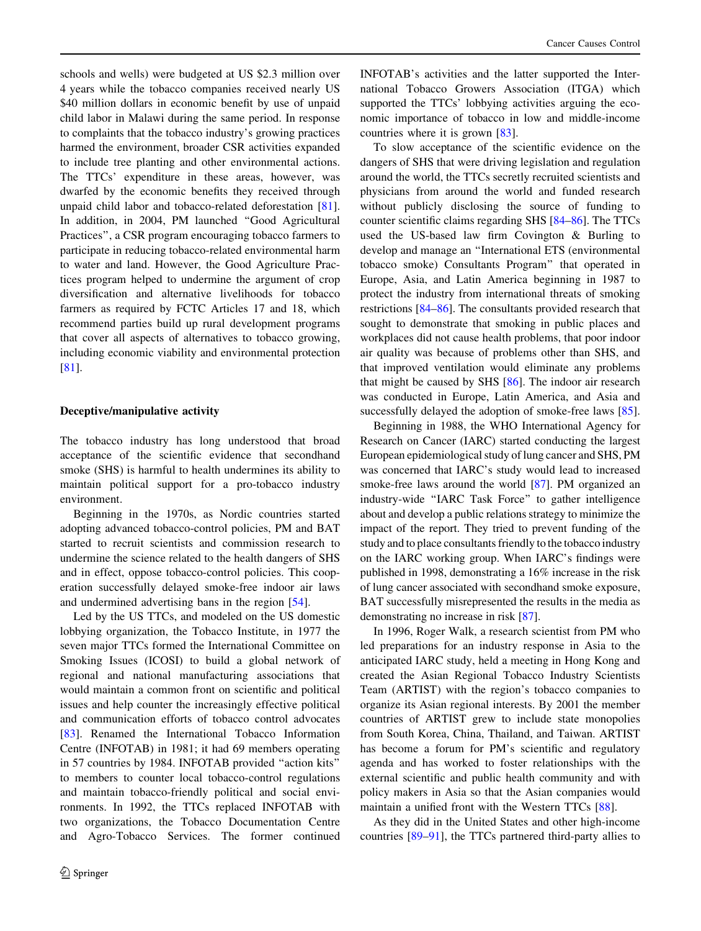schools and wells) were budgeted at US \$2.3 million over 4 years while the tobacco companies received nearly US \$40 million dollars in economic benefit by use of unpaid child labor in Malawi during the same period. In response to complaints that the tobacco industry's growing practices harmed the environment, broader CSR activities expanded to include tree planting and other environmental actions. The TTCs' expenditure in these areas, however, was dwarfed by the economic benefits they received through unpaid child labor and tobacco-related deforestation [\[81](#page-11-0)]. In addition, in 2004, PM launched ''Good Agricultural Practices'', a CSR program encouraging tobacco farmers to participate in reducing tobacco-related environmental harm to water and land. However, the Good Agriculture Practices program helped to undermine the argument of crop diversification and alternative livelihoods for tobacco farmers as required by FCTC Articles 17 and 18, which recommend parties build up rural development programs that cover all aspects of alternatives to tobacco growing, including economic viability and environmental protection [\[81](#page-11-0)].

### Deceptive/manipulative activity

The tobacco industry has long understood that broad acceptance of the scientific evidence that secondhand smoke (SHS) is harmful to health undermines its ability to maintain political support for a pro-tobacco industry environment.

Beginning in the 1970s, as Nordic countries started adopting advanced tobacco-control policies, PM and BAT started to recruit scientists and commission research to undermine the science related to the health dangers of SHS and in effect, oppose tobacco-control policies. This cooperation successfully delayed smoke-free indoor air laws and undermined advertising bans in the region [\[54](#page-10-0)].

Led by the US TTCs, and modeled on the US domestic lobbying organization, the Tobacco Institute, in 1977 the seven major TTCs formed the International Committee on Smoking Issues (ICOSI) to build a global network of regional and national manufacturing associations that would maintain a common front on scientific and political issues and help counter the increasingly effective political and communication efforts of tobacco control advocates [\[83](#page-11-0)]. Renamed the International Tobacco Information Centre (INFOTAB) in 1981; it had 69 members operating in 57 countries by 1984. INFOTAB provided ''action kits'' to members to counter local tobacco-control regulations and maintain tobacco-friendly political and social environments. In 1992, the TTCs replaced INFOTAB with two organizations, the Tobacco Documentation Centre and Agro-Tobacco Services. The former continued

INFOTAB's activities and the latter supported the International Tobacco Growers Association (ITGA) which supported the TTCs' lobbying activities arguing the economic importance of tobacco in low and middle-income countries where it is grown [[83\]](#page-11-0).

To slow acceptance of the scientific evidence on the dangers of SHS that were driving legislation and regulation around the world, the TTCs secretly recruited scientists and physicians from around the world and funded research without publicly disclosing the source of funding to counter scientific claims regarding SHS [\[84–86](#page-11-0)]. The TTCs used the US-based law firm Covington & Burling to develop and manage an ''International ETS (environmental tobacco smoke) Consultants Program'' that operated in Europe, Asia, and Latin America beginning in 1987 to protect the industry from international threats of smoking restrictions [\[84–86](#page-11-0)]. The consultants provided research that sought to demonstrate that smoking in public places and workplaces did not cause health problems, that poor indoor air quality was because of problems other than SHS, and that improved ventilation would eliminate any problems that might be caused by SHS [[86\]](#page-11-0). The indoor air research was conducted in Europe, Latin America, and Asia and successfully delayed the adoption of smoke-free laws [\[85](#page-11-0)].

Beginning in 1988, the WHO International Agency for Research on Cancer (IARC) started conducting the largest European epidemiological study of lung cancer and SHS, PM was concerned that IARC's study would lead to increased smoke-free laws around the world [\[87](#page-11-0)]. PM organized an industry-wide ''IARC Task Force'' to gather intelligence about and develop a public relations strategy to minimize the impact of the report. They tried to prevent funding of the study and to place consultants friendly to the tobacco industry on the IARC working group. When IARC's findings were published in 1998, demonstrating a 16% increase in the risk of lung cancer associated with secondhand smoke exposure, BAT successfully misrepresented the results in the media as demonstrating no increase in risk [[87\]](#page-11-0).

In 1996, Roger Walk, a research scientist from PM who led preparations for an industry response in Asia to the anticipated IARC study, held a meeting in Hong Kong and created the Asian Regional Tobacco Industry Scientists Team (ARTIST) with the region's tobacco companies to organize its Asian regional interests. By 2001 the member countries of ARTIST grew to include state monopolies from South Korea, China, Thailand, and Taiwan. ARTIST has become a forum for PM's scientific and regulatory agenda and has worked to foster relationships with the external scientific and public health community and with policy makers in Asia so that the Asian companies would maintain a unified front with the Western TTCs [\[88](#page-11-0)].

As they did in the United States and other high-income countries [\[89–91](#page-11-0)], the TTCs partnered third-party allies to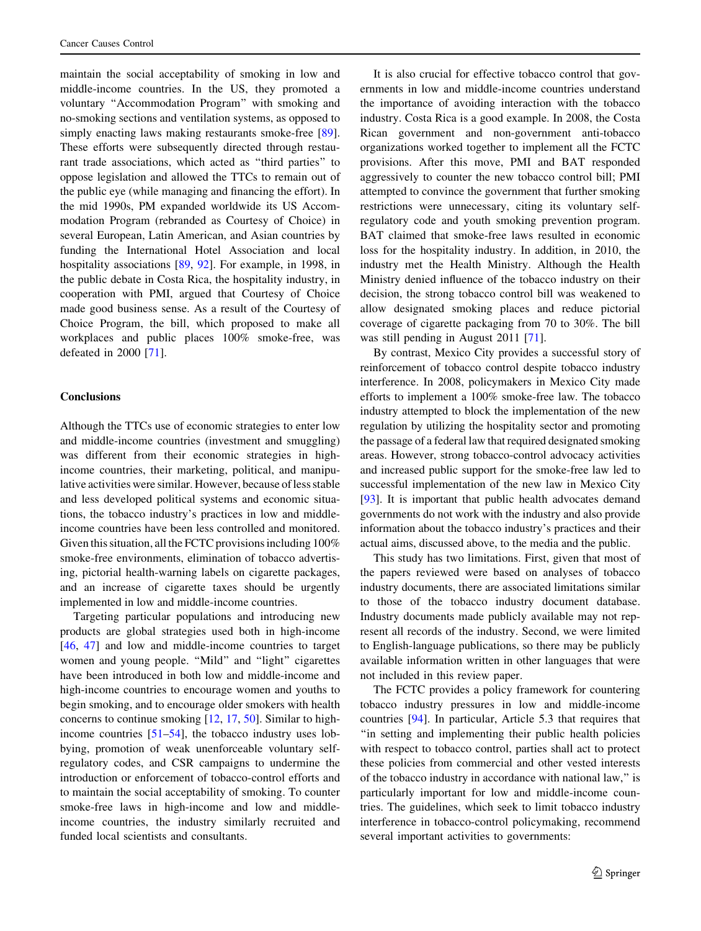maintain the social acceptability of smoking in low and middle-income countries. In the US, they promoted a voluntary ''Accommodation Program'' with smoking and no-smoking sections and ventilation systems, as opposed to simply enacting laws making restaurants smoke-free [\[89](#page-11-0)]. These efforts were subsequently directed through restaurant trade associations, which acted as ''third parties'' to oppose legislation and allowed the TTCs to remain out of the public eye (while managing and financing the effort). In the mid 1990s, PM expanded worldwide its US Accommodation Program (rebranded as Courtesy of Choice) in several European, Latin American, and Asian countries by funding the International Hotel Association and local hospitality associations [[89,](#page-11-0) [92\]](#page-11-0). For example, in 1998, in the public debate in Costa Rica, the hospitality industry, in cooperation with PMI, argued that Courtesy of Choice made good business sense. As a result of the Courtesy of Choice Program, the bill, which proposed to make all workplaces and public places 100% smoke-free, was defeated in 2000 [\[71](#page-11-0)].

#### **Conclusions**

Although the TTCs use of economic strategies to enter low and middle-income countries (investment and smuggling) was different from their economic strategies in highincome countries, their marketing, political, and manipulative activities were similar. However, because of less stable and less developed political systems and economic situations, the tobacco industry's practices in low and middleincome countries have been less controlled and monitored. Given this situation, all the FCTC provisions including 100% smoke-free environments, elimination of tobacco advertising, pictorial health-warning labels on cigarette packages, and an increase of cigarette taxes should be urgently implemented in low and middle-income countries.

Targeting particular populations and introducing new products are global strategies used both in high-income [\[46](#page-10-0), [47](#page-10-0)] and low and middle-income countries to target women and young people. ''Mild'' and ''light'' cigarettes have been introduced in both low and middle-income and high-income countries to encourage women and youths to begin smoking, and to encourage older smokers with health concerns to continue smoking [[12,](#page-9-0) [17](#page-9-0), [50](#page-10-0)]. Similar to highincome countries [[51–54\]](#page-10-0), the tobacco industry uses lobbying, promotion of weak unenforceable voluntary selfregulatory codes, and CSR campaigns to undermine the introduction or enforcement of tobacco-control efforts and to maintain the social acceptability of smoking. To counter smoke-free laws in high-income and low and middleincome countries, the industry similarly recruited and funded local scientists and consultants.

It is also crucial for effective tobacco control that governments in low and middle-income countries understand the importance of avoiding interaction with the tobacco industry. Costa Rica is a good example. In 2008, the Costa Rican government and non-government anti-tobacco organizations worked together to implement all the FCTC provisions. After this move, PMI and BAT responded aggressively to counter the new tobacco control bill; PMI attempted to convince the government that further smoking restrictions were unnecessary, citing its voluntary selfregulatory code and youth smoking prevention program. BAT claimed that smoke-free laws resulted in economic loss for the hospitality industry. In addition, in 2010, the industry met the Health Ministry. Although the Health Ministry denied influence of the tobacco industry on their decision, the strong tobacco control bill was weakened to allow designated smoking places and reduce pictorial coverage of cigarette packaging from 70 to 30%. The bill was still pending in August 2011 [[71\]](#page-11-0).

By contrast, Mexico City provides a successful story of reinforcement of tobacco control despite tobacco industry interference. In 2008, policymakers in Mexico City made efforts to implement a 100% smoke-free law. The tobacco industry attempted to block the implementation of the new regulation by utilizing the hospitality sector and promoting the passage of a federal law that required designated smoking areas. However, strong tobacco-control advocacy activities and increased public support for the smoke-free law led to successful implementation of the new law in Mexico City [\[93](#page-11-0)]. It is important that public health advocates demand governments do not work with the industry and also provide information about the tobacco industry's practices and their actual aims, discussed above, to the media and the public.

This study has two limitations. First, given that most of the papers reviewed were based on analyses of tobacco industry documents, there are associated limitations similar to those of the tobacco industry document database. Industry documents made publicly available may not represent all records of the industry. Second, we were limited to English-language publications, so there may be publicly available information written in other languages that were not included in this review paper.

The FCTC provides a policy framework for countering tobacco industry pressures in low and middle-income countries [[94\]](#page-11-0). In particular, Article 5.3 that requires that ''in setting and implementing their public health policies with respect to tobacco control, parties shall act to protect these policies from commercial and other vested interests of the tobacco industry in accordance with national law,'' is particularly important for low and middle-income countries. The guidelines, which seek to limit tobacco industry interference in tobacco-control policymaking, recommend several important activities to governments: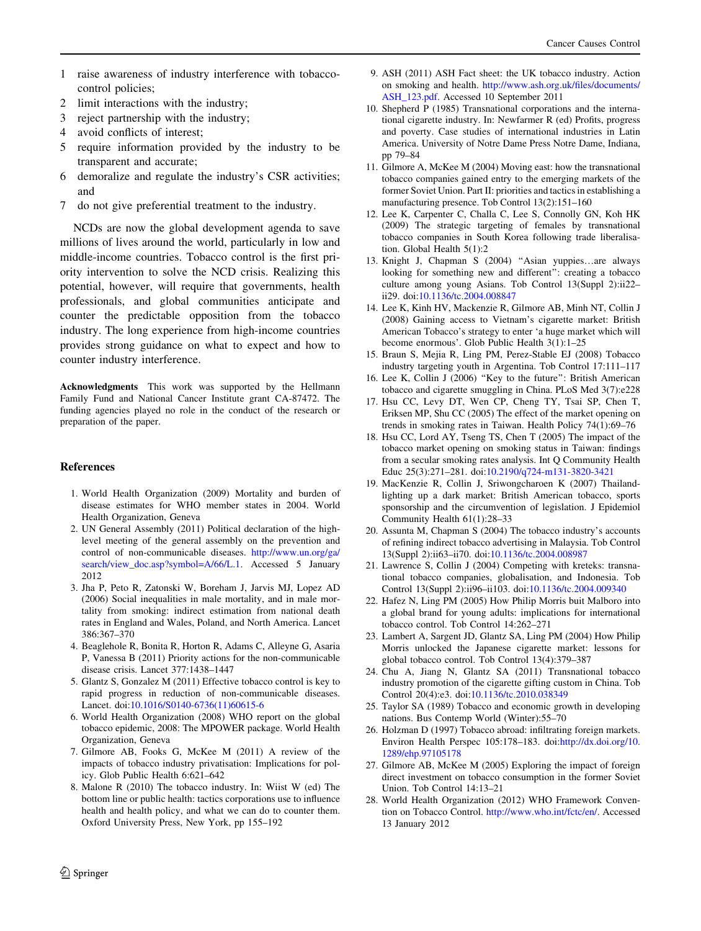- <span id="page-9-0"></span>1 raise awareness of industry interference with tobaccocontrol policies;
- 2 limit interactions with the industry;
- 3 reject partnership with the industry;
- 4 avoid conflicts of interest;
- 5 require information provided by the industry to be transparent and accurate;
- 6 demoralize and regulate the industry's CSR activities; and
- 7 do not give preferential treatment to the industry.

NCDs are now the global development agenda to save millions of lives around the world, particularly in low and middle-income countries. Tobacco control is the first priority intervention to solve the NCD crisis. Realizing this potential, however, will require that governments, health professionals, and global communities anticipate and counter the predictable opposition from the tobacco industry. The long experience from high-income countries provides strong guidance on what to expect and how to counter industry interference.

Acknowledgments This work was supported by the Hellmann Family Fund and National Cancer Institute grant CA-87472. The funding agencies played no role in the conduct of the research or preparation of the paper.

#### References

- 1. World Health Organization (2009) Mortality and burden of disease estimates for WHO member states in 2004. World Health Organization, Geneva
- 2. UN General Assembly (2011) Political declaration of the highlevel meeting of the general assembly on the prevention and control of non-communicable diseases. [http://www.un.org/ga/](http://www.un.org/ga/search/view_doc.asp?symbol=A/66/L.1) [search/view\\_doc.asp?symbol=A/66/L.1](http://www.un.org/ga/search/view_doc.asp?symbol=A/66/L.1). Accessed 5 January 2012
- 3. Jha P, Peto R, Zatonski W, Boreham J, Jarvis MJ, Lopez AD (2006) Social inequalities in male mortality, and in male mortality from smoking: indirect estimation from national death rates in England and Wales, Poland, and North America. Lancet 386:367–370
- 4. Beaglehole R, Bonita R, Horton R, Adams C, Alleyne G, Asaria P, Vanessa B (2011) Priority actions for the non-communicable disease crisis. Lancet 377:1438–1447
- 5. Glantz S, Gonzalez M (2011) Effective tobacco control is key to rapid progress in reduction of non-communicable diseases. Lancet. doi:[10.1016/S0140-6736\(11\)60615-6](http://dx.doi.org/10.1016/S0140-6736(11)60615-6)
- 6. World Health Organization (2008) WHO report on the global tobacco epidemic, 2008: The MPOWER package. World Health Organization, Geneva
- 7. Gilmore AB, Fooks G, McKee M (2011) A review of the impacts of tobacco industry privatisation: Implications for policy. Glob Public Health 6:621–642
- 8. Malone R (2010) The tobacco industry. In: Wiist W (ed) The bottom line or public health: tactics corporations use to influence health and health policy, and what we can do to counter them. Oxford University Press, New York, pp 155–192
- 9. ASH (2011) ASH Fact sheet: the UK tobacco industry. Action on smoking and health. [http://www.ash.org.uk/files/documents/](http://www.ash.org.uk/files/documents/ASH_123.pdf) [ASH\\_123.pdf.](http://www.ash.org.uk/files/documents/ASH_123.pdf) Accessed 10 September 2011
- 10. Shepherd P (1985) Transnational corporations and the international cigarette industry. In: Newfarmer R (ed) Profits, progress and poverty. Case studies of international industries in Latin America. University of Notre Dame Press Notre Dame, Indiana, pp 79–84
- 11. Gilmore A, McKee M (2004) Moving east: how the transnational tobacco companies gained entry to the emerging markets of the former Soviet Union. Part II: priorities and tactics in establishing a manufacturing presence. Tob Control 13(2):151–160
- 12. Lee K, Carpenter C, Challa C, Lee S, Connolly GN, Koh HK (2009) The strategic targeting of females by transnational tobacco companies in South Korea following trade liberalisation. Global Health 5(1):2
- 13. Knight J, Chapman S (2004) ''Asian yuppies…are always looking for something new and different'': creating a tobacco culture among young Asians. Tob Control 13(Suppl 2):ii22– ii29. doi:[10.1136/tc.2004.008847](http://dx.doi.org/10.1136/tc.2004.008847)
- 14. Lee K, Kinh HV, Mackenzie R, Gilmore AB, Minh NT, Collin J (2008) Gaining access to Vietnam's cigarette market: British American Tobacco's strategy to enter 'a huge market which will become enormous'. Glob Public Health 3(1):1–25
- 15. Braun S, Mejia R, Ling PM, Perez-Stable EJ (2008) Tobacco industry targeting youth in Argentina. Tob Control 17:111–117
- 16. Lee K, Collin J (2006) ''Key to the future'': British American tobacco and cigarette smuggling in China. PLoS Med 3(7):e228
- 17. Hsu CC, Levy DT, Wen CP, Cheng TY, Tsai SP, Chen T, Eriksen MP, Shu CC (2005) The effect of the market opening on trends in smoking rates in Taiwan. Health Policy 74(1):69–76
- 18. Hsu CC, Lord AY, Tseng TS, Chen T (2005) The impact of the tobacco market opening on smoking status in Taiwan: findings from a secular smoking rates analysis. Int Q Community Health Educ 25(3):271–281. doi[:10.2190/q724-m131-3820-3421](http://dx.doi.org/10.2190/q724-m131-3820-3421)
- 19. MacKenzie R, Collin J, Sriwongcharoen K (2007) Thailandlighting up a dark market: British American tobacco, sports sponsorship and the circumvention of legislation. J Epidemiol Community Health 61(1):28–33
- 20. Assunta M, Chapman S (2004) The tobacco industry's accounts of refining indirect tobacco advertising in Malaysia. Tob Control 13(Suppl 2):ii63–ii70. doi:[10.1136/tc.2004.008987](http://dx.doi.org/10.1136/tc.2004.008987)
- 21. Lawrence S, Collin J (2004) Competing with kreteks: transnational tobacco companies, globalisation, and Indonesia. Tob Control 13(Suppl 2):ii96–ii103. doi:[10.1136/tc.2004.009340](http://dx.doi.org/10.1136/tc.2004.009340)
- 22. Hafez N, Ling PM (2005) How Philip Morris buit Malboro into a global brand for young adults: implications for international tobacco control. Tob Control 14:262–271
- 23. Lambert A, Sargent JD, Glantz SA, Ling PM (2004) How Philip Morris unlocked the Japanese cigarette market: lessons for global tobacco control. Tob Control 13(4):379–387
- 24. Chu A, Jiang N, Glantz SA (2011) Transnational tobacco industry promotion of the cigarette gifting custom in China. Tob Control 20(4):e3. doi[:10.1136/tc.2010.038349](http://dx.doi.org/10.1136/tc.2010.038349)
- 25. Taylor SA (1989) Tobacco and economic growth in developing nations. Bus Contemp World (Winter):55–70
- 26. Holzman D (1997) Tobacco abroad: infiltrating foreign markets. Environ Health Perspec 105:178–183. doi[:http://dx.doi.org/10.](http://dx.doi.org/10.1289/ehp.97105178) [1289/ehp.97105178](http://dx.doi.org/10.1289/ehp.97105178)
- 27. Gilmore AB, McKee M (2005) Exploring the impact of foreign direct investment on tobacco consumption in the former Soviet Union. Tob Control 14:13–21
- 28. World Health Organization (2012) WHO Framework Convention on Tobacco Control. [http://www.who.int/fctc/en/.](http://www.who.int/fctc/en/) Accessed 13 January 2012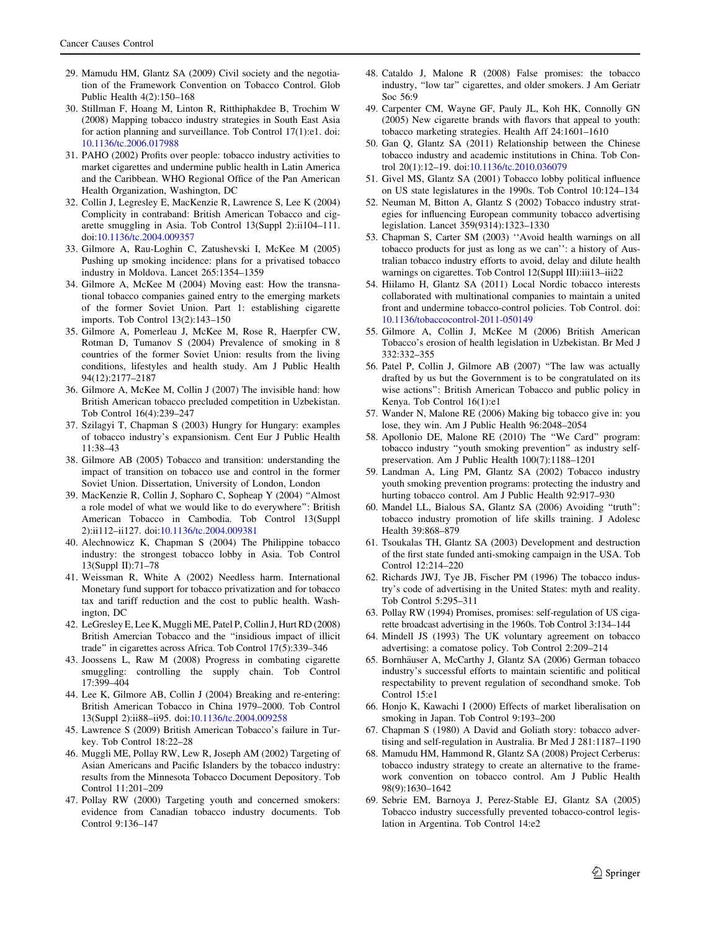- <span id="page-10-0"></span>29. Mamudu HM, Glantz SA (2009) Civil society and the negotiation of the Framework Convention on Tobacco Control. Glob Public Health 4(2):150–168
- 30. Stillman F, Hoang M, Linton R, Ritthiphakdee B, Trochim W (2008) Mapping tobacco industry strategies in South East Asia for action planning and surveillance. Tob Control 17(1):e1. doi: [10.1136/tc.2006.017988](http://dx.doi.org/10.1136/tc.2006.017988)
- 31. PAHO (2002) Profits over people: tobacco industry activities to market cigarettes and undermine public health in Latin America and the Caribbean. WHO Regional Office of the Pan American Health Organization, Washington, DC
- 32. Collin J, Legresley E, MacKenzie R, Lawrence S, Lee K (2004) Complicity in contraband: British American Tobacco and cigarette smuggling in Asia. Tob Control 13(Suppl 2):ii104–111. doi:[10.1136/tc.2004.009357](http://dx.doi.org/10.1136/tc.2004.009357)
- 33. Gilmore A, Rau-Loghin C, Zatushevski I, McKee M (2005) Pushing up smoking incidence: plans for a privatised tobacco industry in Moldova. Lancet 265:1354–1359
- 34. Gilmore A, McKee M (2004) Moving east: How the transnational tobacco companies gained entry to the emerging markets of the former Soviet Union. Part 1: establishing cigarette imports. Tob Control 13(2):143–150
- 35. Gilmore A, Pomerleau J, McKee M, Rose R, Haerpfer CW, Rotman D, Tumanov S (2004) Prevalence of smoking in 8 countries of the former Soviet Union: results from the living conditions, lifestyles and health study. Am J Public Health 94(12):2177–2187
- 36. Gilmore A, McKee M, Collin J (2007) The invisible hand: how British American tobacco precluded competition in Uzbekistan. Tob Control 16(4):239–247
- 37. Szilagyi T, Chapman S (2003) Hungry for Hungary: examples of tobacco industry's expansionism. Cent Eur J Public Health 11:38–43
- 38. Gilmore AB (2005) Tobacco and transition: understanding the impact of transition on tobacco use and control in the former Soviet Union. Dissertation, University of London, London
- 39. MacKenzie R, Collin J, Sopharo C, Sopheap Y (2004) ''Almost a role model of what we would like to do everywhere'': British American Tobacco in Cambodia. Tob Control 13(Suppl 2):ii112–ii127. doi[:10.1136/tc.2004.009381](http://dx.doi.org/10.1136/tc.2004.009381)
- 40. Alechnowicz K, Chapman S (2004) The Philippine tobacco industry: the strongest tobacco lobby in Asia. Tob Control 13(Suppl II):71–78
- 41. Weissman R, White A (2002) Needless harm. International Monetary fund support for tobacco privatization and for tobacco tax and tariff reduction and the cost to public health. Washington, DC
- 42. LeGresley E, Lee K, Muggli ME, Patel P, Collin J, Hurt RD (2008) British Amercian Tobacco and the ''insidious impact of illicit trade'' in cigarettes across Africa. Tob Control 17(5):339–346
- 43. Joossens L, Raw M (2008) Progress in combating cigarette smuggling: controlling the supply chain. Tob Control 17:399–404
- 44. Lee K, Gilmore AB, Collin J (2004) Breaking and re-entering: British American Tobacco in China 1979–2000. Tob Control 13(Suppl 2):ii88–ii95. doi:[10.1136/tc.2004.009258](http://dx.doi.org/10.1136/tc.2004.009258)
- 45. Lawrence S (2009) British American Tobacco's failure in Turkey. Tob Control 18:22–28
- 46. Muggli ME, Pollay RW, Lew R, Joseph AM (2002) Targeting of Asian Americans and Pacific Islanders by the tobacco industry: results from the Minnesota Tobacco Document Depository. Tob Control 11:201–209
- 47. Pollay RW (2000) Targeting youth and concerned smokers: evidence from Canadian tobacco industry documents. Tob Control 9:136–147
- 48. Cataldo J, Malone R (2008) False promises: the tobacco industry, ''low tar'' cigarettes, and older smokers. J Am Geriatr Soc 56:9
- 49. Carpenter CM, Wayne GF, Pauly JL, Koh HK, Connolly GN (2005) New cigarette brands with flavors that appeal to youth: tobacco marketing strategies. Health Aff 24:1601–1610
- 50. Gan Q, Glantz SA (2011) Relationship between the Chinese tobacco industry and academic institutions in China. Tob Control 20(1):12–19. doi[:10.1136/tc.2010.036079](http://dx.doi.org/10.1136/tc.2010.036079)
- 51. Givel MS, Glantz SA (2001) Tobacco lobby political influence on US state legislatures in the 1990s. Tob Control 10:124–134
- 52. Neuman M, Bitton A, Glantz S (2002) Tobacco industry strategies for influencing European community tobacco advertising legislation. Lancet 359(9314):1323–1330
- 53. Chapman S, Carter SM (2003) ''Avoid health warnings on all tobacco products for just as long as we can'': a history of Australian tobacco industry efforts to avoid, delay and dilute health warnings on cigarettes. Tob Control 12(Suppl III):iii13-iii22
- 54. Hiilamo H, Glantz SA (2011) Local Nordic tobacco interests collaborated with multinational companies to maintain a united front and undermine tobacco-control policies. Tob Control. doi: [10.1136/tobaccocontrol-2011-050149](http://dx.doi.org/10.1136/tobaccocontrol-2011-050149)
- 55. Gilmore A, Collin J, McKee M (2006) British American Tobacco's erosion of health legislation in Uzbekistan. Br Med J 332:332–355
- 56. Patel P, Collin J, Gilmore AB (2007) ''The law was actually drafted by us but the Government is to be congratulated on its wise actions'': British American Tobacco and public policy in Kenya. Tob Control 16(1):e1
- 57. Wander N, Malone RE (2006) Making big tobacco give in: you lose, they win. Am J Public Health 96:2048–2054
- 58. Apollonio DE, Malone RE (2010) The ''We Card'' program: tobacco industry ''youth smoking prevention'' as industry selfpreservation. Am J Public Health 100(7):1188–1201
- 59. Landman A, Ling PM, Glantz SA (2002) Tobacco industry youth smoking prevention programs: protecting the industry and hurting tobacco control. Am J Public Health 92:917–930
- 60. Mandel LL, Bialous SA, Glantz SA (2006) Avoiding ''truth'': tobacco industry promotion of life skills training. J Adolesc Health 39:868–879
- 61. Tsoukalas TH, Glantz SA (2003) Development and destruction of the first state funded anti-smoking campaign in the USA. Tob Control 12:214–220
- 62. Richards JWJ, Tye JB, Fischer PM (1996) The tobacco industry's code of advertising in the United States: myth and reality. Tob Control 5:295–311
- 63. Pollay RW (1994) Promises, promises: self-regulation of US cigarette broadcast advertising in the 1960s. Tob Control 3:134–144
- 64. Mindell JS (1993) The UK voluntary agreement on tobacco advertising: a comatose policy. Tob Control 2:209–214
- 65. Bornhäuser A, McCarthy J, Glantz SA (2006) German tobacco industry's successful efforts to maintain scientific and political respectability to prevent regulation of secondhand smoke. Tob Control 15:e1
- 66. Honjo K, Kawachi I (2000) Effects of market liberalisation on smoking in Japan. Tob Control 9:193–200
- 67. Chapman S (1980) A David and Goliath story: tobacco advertising and self-regulation in Australia. Br Med J 281:1187–1190
- 68. Mamudu HM, Hammond R, Glantz SA (2008) Project Cerberus: tobacco industry strategy to create an alternative to the framework convention on tobacco control. Am J Public Health 98(9):1630–1642
- 69. Sebrie EM, Barnoya J, Perez-Stable EJ, Glantz SA (2005) Tobacco industry successfully prevented tobacco-control legislation in Argentina. Tob Control 14:e2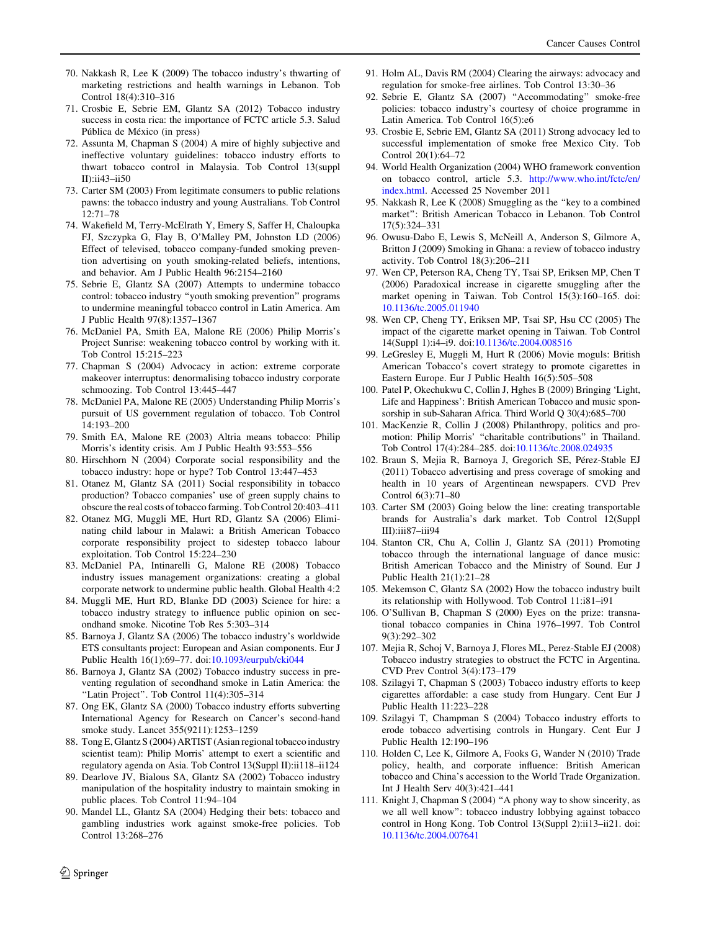- <span id="page-11-0"></span>70. Nakkash R, Lee K (2009) The tobacco industry's thwarting of marketing restrictions and health warnings in Lebanon. Tob Control 18(4):310–316
- 71. Crosbie E, Sebrie EM, Glantz SA (2012) Tobacco industry success in costa rica: the importance of FCTC article 5.3. Salud Pública de México (in press)
- 72. Assunta M, Chapman S (2004) A mire of highly subjective and ineffective voluntary guidelines: tobacco industry efforts to thwart tobacco control in Malaysia. Tob Control 13(suppl II):ii43–ii50
- 73. Carter SM (2003) From legitimate consumers to public relations pawns: the tobacco industry and young Australians. Tob Control 12:71–78
- 74. Wakefield M, Terry-McElrath Y, Emery S, Saffer H, Chaloupka FJ, Szczypka G, Flay B, O'Malley PM, Johnston LD (2006) Effect of televised, tobacco company-funded smoking prevention advertising on youth smoking-related beliefs, intentions, and behavior. Am J Public Health 96:2154–2160
- 75. Sebrie E, Glantz SA (2007) Attempts to undermine tobacco control: tobacco industry ''youth smoking prevention'' programs to undermine meaningful tobacco control in Latin America. Am J Public Health 97(8):1357–1367
- 76. McDaniel PA, Smith EA, Malone RE (2006) Philip Morris's Project Sunrise: weakening tobacco control by working with it. Tob Control 15:215–223
- 77. Chapman S (2004) Advocacy in action: extreme corporate makeover interruptus: denormalising tobacco industry corporate schmoozing. Tob Control 13:445–447
- 78. McDaniel PA, Malone RE (2005) Understanding Philip Morris's pursuit of US government regulation of tobacco. Tob Control 14:193–200
- 79. Smith EA, Malone RE (2003) Altria means tobacco: Philip Morris's identity crisis. Am J Public Health 93:553–556
- 80. Hirschhorn N (2004) Corporate social responsibility and the tobacco industry: hope or hype? Tob Control 13:447–453
- 81. Otanez M, Glantz SA (2011) Social responsibility in tobacco production? Tobacco companies' use of green supply chains to obscure the real costs of tobacco farming. Tob Control 20:403–411
- 82. Otanez MG, Muggli ME, Hurt RD, Glantz SA (2006) Eliminating child labour in Malawi: a British American Tobacco corporate responsibility project to sidestep tobacco labour exploitation. Tob Control 15:224–230
- 83. McDaniel PA, Intinarelli G, Malone RE (2008) Tobacco industry issues management organizations: creating a global corporate network to undermine public health. Global Health 4:2
- 84. Muggli ME, Hurt RD, Blanke DD (2003) Science for hire: a tobacco industry strategy to influence public opinion on secondhand smoke. Nicotine Tob Res 5:303–314
- 85. Barnoya J, Glantz SA (2006) The tobacco industry's worldwide ETS consultants project: European and Asian components. Eur J Public Health 16(1):69–77. doi:[10.1093/eurpub/cki044](http://dx.doi.org/10.1093/eurpub/cki044)
- 86. Barnoya J, Glantz SA (2002) Tobacco industry success in preventing regulation of secondhand smoke in Latin America: the ''Latin Project''. Tob Control 11(4):305–314
- 87. Ong EK, Glantz SA (2000) Tobacco industry efforts subverting International Agency for Research on Cancer's second-hand smoke study. Lancet 355(9211):1253–1259
- 88. Tong E, Glantz S (2004) ARTIST (Asian regional tobacco industry scientist team): Philip Morris' attempt to exert a scientific and regulatory agenda on Asia. Tob Control 13(Suppl II):ii118–ii124
- 89. Dearlove JV, Bialous SA, Glantz SA (2002) Tobacco industry manipulation of the hospitality industry to maintain smoking in public places. Tob Control 11:94–104
- 90. Mandel LL, Glantz SA (2004) Hedging their bets: tobacco and gambling industries work against smoke-free policies. Tob Control 13:268–276
- 91. Holm AL, Davis RM (2004) Clearing the airways: advocacy and regulation for smoke-free airlines. Tob Control 13:30–36
- 92. Sebrie E, Glantz SA (2007) ''Accommodating'' smoke-free policies: tobacco industry's courtesy of choice programme in Latin America. Tob Control 16(5):e6
- 93. Crosbie E, Sebrie EM, Glantz SA (2011) Strong advocacy led to successful implementation of smoke free Mexico City. Tob Control 20(1):64–72
- 94. World Health Organization (2004) WHO framework convention on tobacco control, article 5.3. [http://www.who.int/fctc/en/](http://www.who.int/fctc/en/index.html) [index.html](http://www.who.int/fctc/en/index.html). Accessed 25 November 2011
- 95. Nakkash R, Lee K (2008) Smuggling as the ''key to a combined market'': British American Tobacco in Lebanon. Tob Control 17(5):324–331
- 96. Owusu-Dabo E, Lewis S, McNeill A, Anderson S, Gilmore A, Britton J (2009) Smoking in Ghana: a review of tobacco industry activity. Tob Control 18(3):206–211
- 97. Wen CP, Peterson RA, Cheng TY, Tsai SP, Eriksen MP, Chen T (2006) Paradoxical increase in cigarette smuggling after the market opening in Taiwan. Tob Control 15(3):160–165. doi: [10.1136/tc.2005.011940](http://dx.doi.org/10.1136/tc.2005.011940)
- 98. Wen CP, Cheng TY, Eriksen MP, Tsai SP, Hsu CC (2005) The impact of the cigarette market opening in Taiwan. Tob Control 14(Suppl 1):i4–i9. doi:[10.1136/tc.2004.008516](http://dx.doi.org/10.1136/tc.2004.008516)
- 99. LeGresley E, Muggli M, Hurt R (2006) Movie moguls: British American Tobacco's covert strategy to promote cigarettes in Eastern Europe. Eur J Public Health 16(5):505–508
- 100. Patel P, Okechukwu C, Collin J, Hghes B (2009) Bringing 'Light, Life and Happiness': British American Tobacco and music sponsorship in sub-Saharan Africa. Third World Q 30(4):685–700
- 101. MacKenzie R, Collin J (2008) Philanthropy, politics and promotion: Philip Morris' ''charitable contributions'' in Thailand. Tob Control 17(4):284–285. doi[:10.1136/tc.2008.024935](http://dx.doi.org/10.1136/tc.2008.024935)
- 102. Braun S, Mejia R, Barnoya J, Gregorich SE, Pérez-Stable EJ (2011) Tobacco advertising and press coverage of smoking and health in 10 years of Argentinean newspapers. CVD Prev Control 6(3):71–80
- 103. Carter SM (2003) Going below the line: creating transportable brands for Australia's dark market. Tob Control 12(Suppl III):iii87–iii94
- 104. Stanton CR, Chu A, Collin J, Glantz SA (2011) Promoting tobacco through the international language of dance music: British American Tobacco and the Ministry of Sound. Eur J Public Health 21(1):21–28
- 105. Mekemson C, Glantz SA (2002) How the tobacco industry built its relationship with Hollywood. Tob Control 11:i81–i91
- 106. O'Sullivan B, Chapman S (2000) Eyes on the prize: transnational tobacco companies in China 1976–1997. Tob Control 9(3):292–302
- 107. Mejia R, Schoj V, Barnoya J, Flores ML, Perez-Stable EJ (2008) Tobacco industry strategies to obstruct the FCTC in Argentina. CVD Prev Control 3(4):173–179
- 108. Szilagyi T, Chapman S (2003) Tobacco industry efforts to keep cigarettes affordable: a case study from Hungary. Cent Eur J Public Health 11:223–228
- 109. Szilagyi T, Champman S (2004) Tobacco industry efforts to erode tobacco advertising controls in Hungary. Cent Eur J Public Health 12:190–196
- 110. Holden C, Lee K, Gilmore A, Fooks G, Wander N (2010) Trade policy, health, and corporate influence: British American tobacco and China's accession to the World Trade Organization. Int J Health Serv 40(3):421–441
- 111. Knight J, Chapman S (2004) ''A phony way to show sincerity, as we all well know'': tobacco industry lobbying against tobacco control in Hong Kong. Tob Control 13(Suppl 2):ii13–ii21. doi: [10.1136/tc.2004.007641](http://dx.doi.org/10.1136/tc.2004.007641)